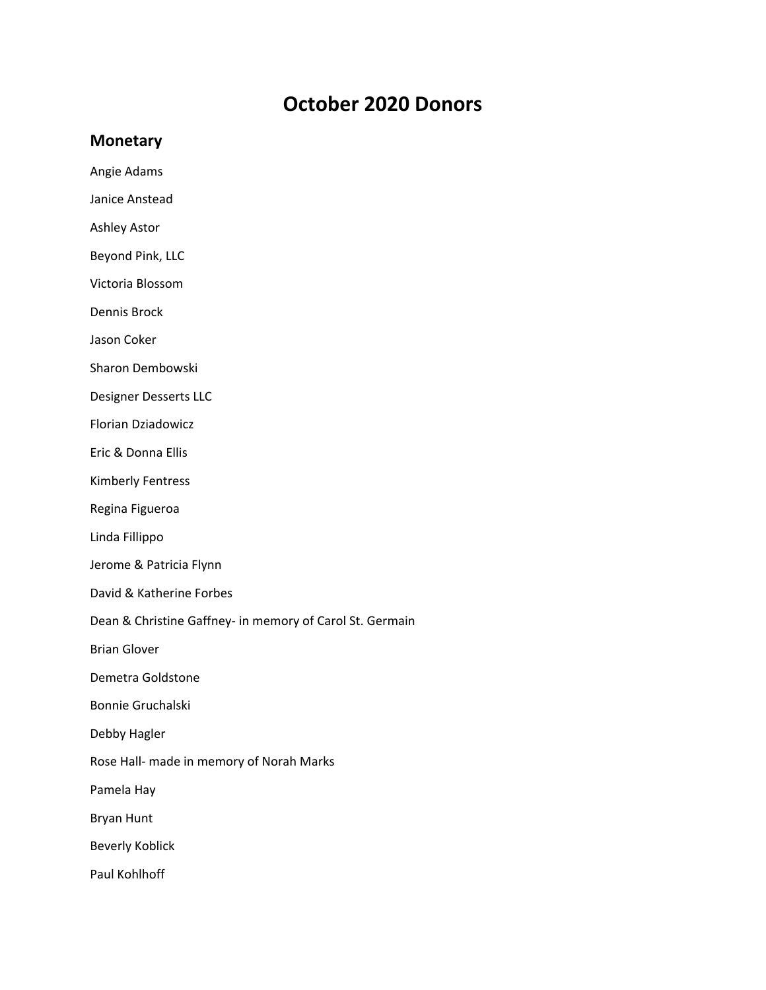## **October 2020 Donors**

## **Monetary**

- Angie Adams
- Janice Anstead
- Ashley Astor
- Beyond Pink, LLC
- Victoria Blossom
- Dennis Brock
- Jason Coker
- Sharon Dembowski
- Designer Desserts LLC
- Florian Dziadowicz
- Eric & Donna Ellis
- Kimberly Fentress
- Regina Figueroa
- Linda Fillippo
- Jerome & Patricia Flynn
- David & Katherine Forbes
- Dean & Christine Gaffney‐ in memory of Carol St. Germain
- Brian Glover
- Demetra Goldstone
- Bonnie Gruchalski
- Debby Hagler
- Rose Hall‐ made in memory of Norah Marks
- Pamela Hay
- Bryan Hunt
- Beverly Koblick
- Paul Kohlhoff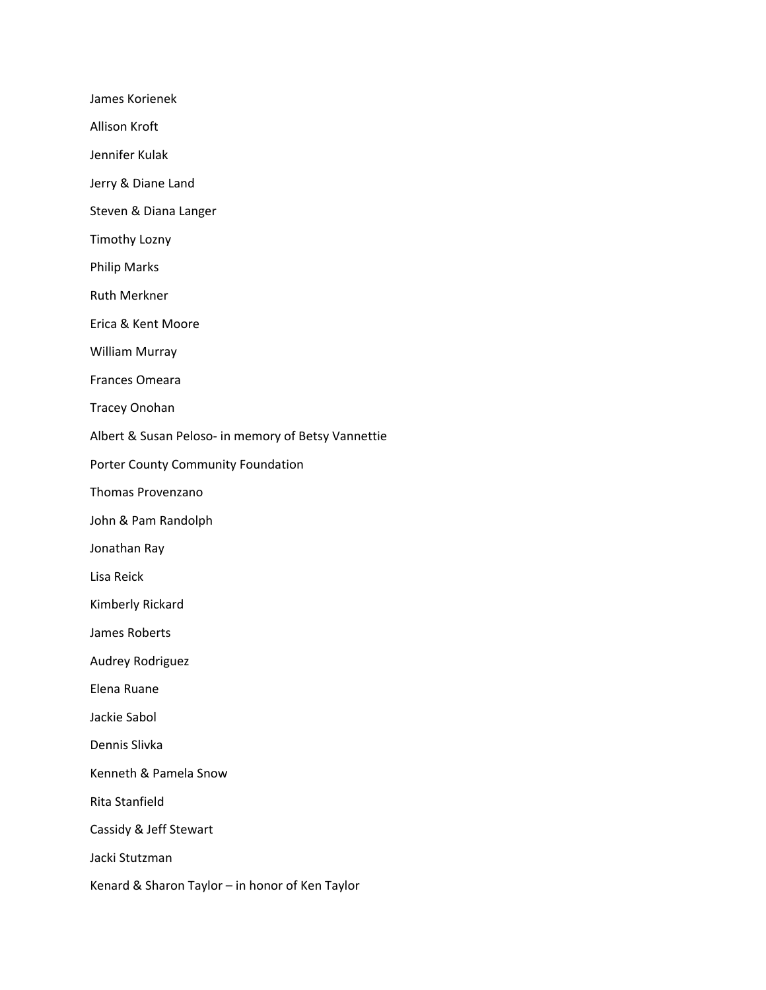James Korienek Allison Kroft Jennifer Kulak Jerry & Diane Land Steven & Diana Langer Timothy Lozny Philip Marks Ruth Merkner Erica & Kent Moore William Murray Frances Omeara Tracey Onohan Albert & Susan Peloso‐ in memory of Betsy Vannettie Porter County Community Foundation Thomas Provenzano John & Pam Randolph Jonathan Ray Lisa Reick Kimberly Rickard James Roberts Audrey Rodriguez Elena Ruane Jackie Sabol Dennis Slivka Kenneth & Pamela Snow Rita Stanfield Cassidy & Jeff Stewart Jacki Stutzman Kenard & Sharon Taylor – in honor of Ken Taylor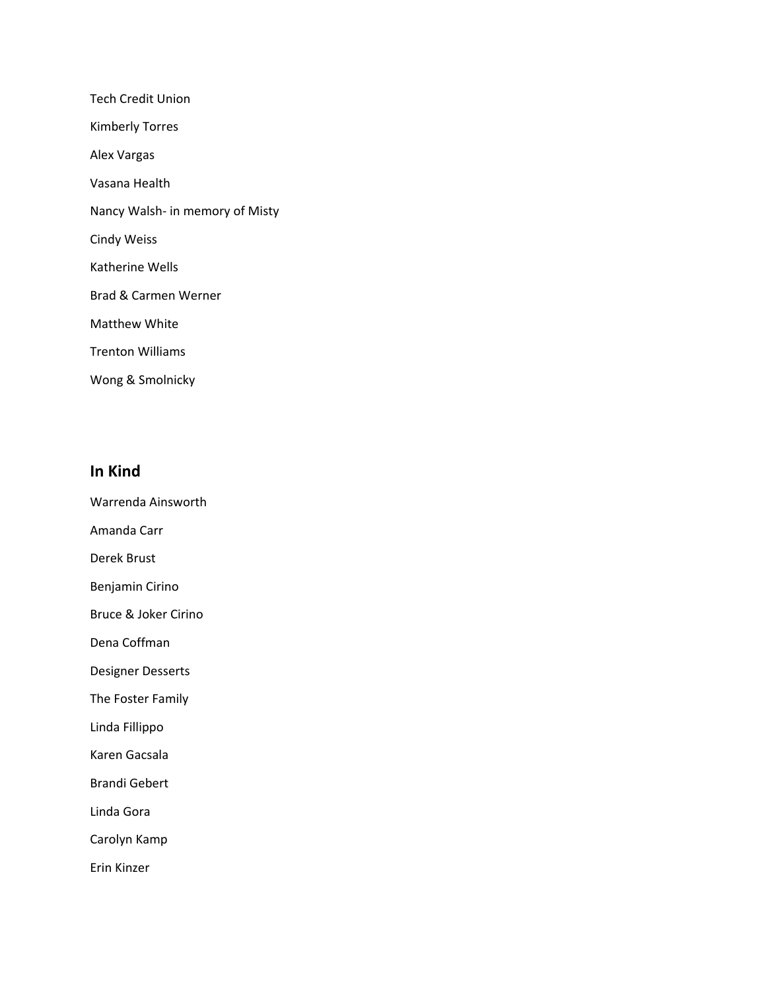Tech Credit Union Kimberly Torres Alex Vargas Vasana Health Nancy Walsh‐ in memory of Misty Cindy Weiss Katherine Wells Brad & Carmen Werner Matthew White Trenton Williams Wong & Smolnicky

## **In Kind**

- Warrenda Ainsworth
- Amanda Carr
- Derek Brust
- Benjamin Cirino
- Bruce & Joker Cirino
- Dena Coffman
- Designer Desserts
- The Foster Family
- Linda Fillippo
- Karen Gacsala
- Brandi Gebert
- Linda Gora
- Carolyn Kamp
- Erin Kinzer